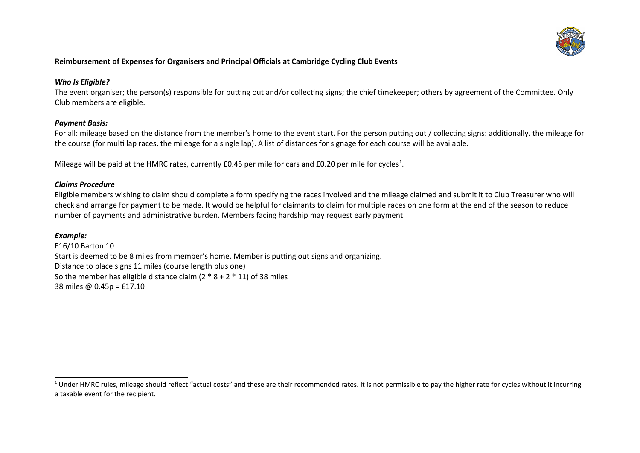

### **Reimbursement of Expenses for Organisers and Principal Officials at Cambridge Cycling Club Events**

#### *Who Is Eligible?*

The event organiser; the person(s) responsible for putting out and/or collecting signs; the chief timekeeper; others by agreement of the Committee. Only Club members are eligible.

#### *Payment Basis:*

For all: mileage based on the distance from the member's home to the event start. For the person putting out / collecting signs: additionally, the mileage for the course (for multi lap races, the mileage for a single lap). A list of distances for signage for each course will be available.

Mileage will be paid at the HMRC rates, currently £0.45 per mile for cars and £0.20 per mile for cycles<sup>[1](#page-0-0)</sup>.

#### *Claims Procedure*

Eligible members wishing to claim should complete a form specifying the races involved and the mileage claimed and submit it to Club Treasurer who will check and arrange for payment to be made. It would be helpful for claimants to claim for multiple races on one form at the end of the season to reduce number of payments and administrative burden. Members facing hardship may request early payment.

#### *Example:*

F16/10 Barton 10 Start is deemed to be 8 miles from member's home. Member is putting out signs and organizing. Distance to place signs 11 miles (course length plus one) So the member has eligible distance claim  $(2 * 8 + 2 * 11)$  of 38 miles 38 miles @ 0.45p = £17.10

<span id="page-0-0"></span> $^1$  Under HMRC rules, mileage should reflect "actual costs" and these are their recommended rates. It is not permissible to pay the higher rate for cycles without it incurring a taxable event for the recipient.